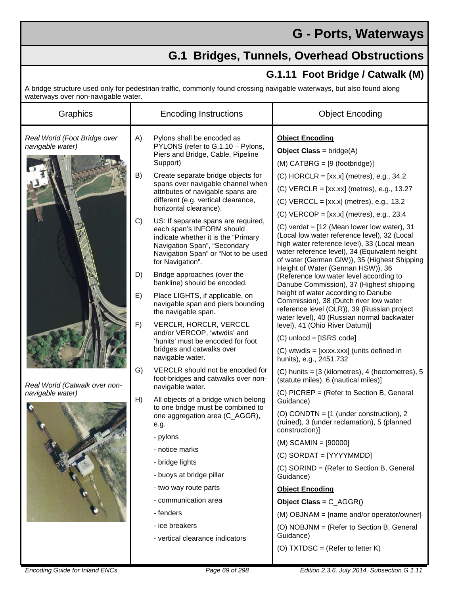## **G - Ports, Waterways**

## **G.1 Bridges, Tunnels, Overhead Obstructions**

## **G.1.11 Foot Bridge / Catwalk (M)**

A bridge structure used only for pedestrian traffic, commonly found crossing navigable waterways, but also found along waterways over non-navigable water.

| Graphics                                                                                              | <b>Encoding Instructions</b> |                                                                                                                                                                                                    | <b>Object Encoding</b>                                                                                                                                                                                                                                                               |
|-------------------------------------------------------------------------------------------------------|------------------------------|----------------------------------------------------------------------------------------------------------------------------------------------------------------------------------------------------|--------------------------------------------------------------------------------------------------------------------------------------------------------------------------------------------------------------------------------------------------------------------------------------|
| Real World (Foot Bridge over<br>navigable water)<br>Real World (Catwalk over non-<br>navigable water) | A)                           | Pylons shall be encoded as<br>PYLONS (refer to G.1.10 - Pylons,<br>Piers and Bridge, Cable, Pipeline<br>Support)                                                                                   | <b>Object Encoding</b><br><b>Object Class = bridge(A)</b><br>$(M)$ CATBRG = $[9$ (footbridge)]                                                                                                                                                                                       |
|                                                                                                       | B)                           | Create separate bridge objects for<br>spans over navigable channel when<br>attributes of navigable spans are<br>different (e.g. vertical clearance,<br>horizontal clearance).                      | $(C)$ HORCLR = $[xx.x]$ (metres), e.g., 34.2<br>$(C)$ VERCLR = $[xx, xx]$ (metres), e.g., 13.27<br>$(C)$ VERCCL = $[xx.x]$ (metres), e.g., 13.2<br>$(C)$ VERCOP = [xx.x] (metres), e.g., 23.4                                                                                        |
|                                                                                                       | C)                           | US: If separate spans are required,<br>each span's INFORM should<br>indicate whether it is the "Primary<br>Navigation Span", "Secondary<br>Navigation Span" or "Not to be used<br>for Navigation". | $(C)$ verdat = $[12$ (Mean lower low water), 31<br>(Local low water reference level), 32 (Local<br>high water reference level), 33 (Local mean<br>water reference level), 34 (Equivalent height<br>of water (German GIW)), 35 (Highest Shipping<br>Height of Water (German HSW)), 36 |
|                                                                                                       | D)                           | Bridge approaches (over the<br>bankline) should be encoded.                                                                                                                                        | (Reference low water level according to<br>Danube Commission), 37 (Highest shipping                                                                                                                                                                                                  |
|                                                                                                       | E)                           | Place LIGHTS, if applicable, on<br>navigable span and piers bounding<br>the navigable span.                                                                                                        | height of water according to Danube<br>Commission), 38 (Dutch river low water<br>reference level (OLR)), 39 (Russian project<br>water level), 40 (Russian normal backwater                                                                                                           |
|                                                                                                       | F)                           | VERCLR, HORCLR, VERCCL<br>and/or VERCOP, 'wtwdis' and<br>'hunits' must be encoded for foot                                                                                                         | level), 41 (Ohio River Datum)]<br>$(C)$ unlocd = [ISRS code]                                                                                                                                                                                                                         |
|                                                                                                       |                              | bridges and catwalks over<br>navigable water.                                                                                                                                                      | (C) wtwdis = [xxxx.xxx] (units defined in<br>hunits), e.g., 2451.732                                                                                                                                                                                                                 |
|                                                                                                       | G)                           | VERCLR should not be encoded for<br>foot-bridges and catwalks over non-                                                                                                                            | $(C)$ hunits = [3 (kilometres), 4 (hectometres), 5<br>(statute miles), 6 (nautical miles)]                                                                                                                                                                                           |
|                                                                                                       | H)                           | navigable water.<br>All objects of a bridge which belong                                                                                                                                           | (C) PICREP = (Refer to Section B, General<br>Guidance)                                                                                                                                                                                                                               |
|                                                                                                       |                              | to one bridge must be combined to<br>one aggregation area (C_AGGR),<br>e.g.                                                                                                                        | (O) CONDTN = $[1$ (under construction), 2<br>(ruined), 3 (under reclamation), 5 (planned<br>construction)]                                                                                                                                                                           |
|                                                                                                       |                              | - pylons<br>- notice marks                                                                                                                                                                         | $(M)$ SCAMIN = $[90000]$                                                                                                                                                                                                                                                             |
|                                                                                                       |                              | - bridge lights                                                                                                                                                                                    | (C) SORDAT = [YYYYMMDD]                                                                                                                                                                                                                                                              |
|                                                                                                       |                              | - buoys at bridge pillar                                                                                                                                                                           | (C) SORIND = (Refer to Section B, General<br>Guidance)                                                                                                                                                                                                                               |
|                                                                                                       |                              | - two way route parts                                                                                                                                                                              | <b>Object Encoding</b>                                                                                                                                                                                                                                                               |
|                                                                                                       |                              | - communication area                                                                                                                                                                               | Object Class = $C_AGGR()$                                                                                                                                                                                                                                                            |
|                                                                                                       |                              | - fenders                                                                                                                                                                                          | (M) OBJNAM = [name and/or operator/owner]                                                                                                                                                                                                                                            |
|                                                                                                       |                              | - ice breakers                                                                                                                                                                                     | (O) NOBJNM = (Refer to Section B, General                                                                                                                                                                                                                                            |
|                                                                                                       |                              | - vertical clearance indicators                                                                                                                                                                    | Guidance)                                                                                                                                                                                                                                                                            |
|                                                                                                       |                              |                                                                                                                                                                                                    | (O) TXTDSC = (Refer to letter $K$ )                                                                                                                                                                                                                                                  |